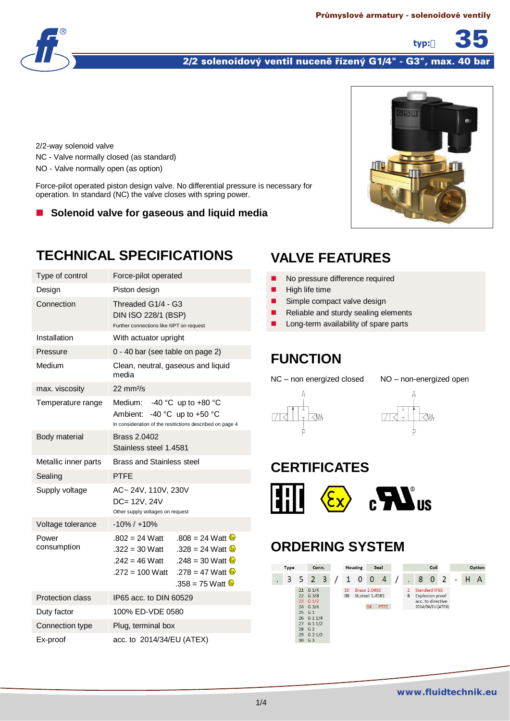

#### 2/2 solenoidový ventil nuceně řízený G1/4" - G3", max. 40 bar

2/2-way solenoid valve NC - Valve normally closed (as standard) NO - Valve normally open (as option)

Force-pilot operated piston design valve. No differential pressure is necessary for operation. In standard (NC) the valve closes with spring power.

■ Solenoid valve for gaseous and liquid media

# **TECHNICAL SPECIFICATIONS**

| Type of control      | Force-pilot operated                                                                                                                                                                                                                 |  |  |  |  |  |
|----------------------|--------------------------------------------------------------------------------------------------------------------------------------------------------------------------------------------------------------------------------------|--|--|--|--|--|
| Design               | Piston design                                                                                                                                                                                                                        |  |  |  |  |  |
| Connection           | Threaded G1/4 - G3<br>DIN ISO 228/1 (BSP)<br>Further connections like NPT on request                                                                                                                                                 |  |  |  |  |  |
| Installation         | With actuator upright                                                                                                                                                                                                                |  |  |  |  |  |
| Pressure             | 0 - 40 bar (see table on page 2)                                                                                                                                                                                                     |  |  |  |  |  |
| Medium               | Clean, neutral, gaseous and liquid<br>media                                                                                                                                                                                          |  |  |  |  |  |
| max. viscosity       | $22 \text{ mm}^2$ /s                                                                                                                                                                                                                 |  |  |  |  |  |
| Temperature range    | Medium: -40 °C up to +80 °C<br>Ambient: -40 °C up to +50 °C<br>In consideration of the restrictions described on page 4                                                                                                              |  |  |  |  |  |
| Body material        | Brass 2.0402<br>Stainless steel 1.4581                                                                                                                                                                                               |  |  |  |  |  |
|                      | <b>Brass and Stainless steel</b>                                                                                                                                                                                                     |  |  |  |  |  |
| Metallic inner parts |                                                                                                                                                                                                                                      |  |  |  |  |  |
| Sealing              | <b>PTFF</b>                                                                                                                                                                                                                          |  |  |  |  |  |
| Supply voltage       | AC~ 24V, 110V, 230V<br>DC= 12V, 24V<br>Other supply voltages on request                                                                                                                                                              |  |  |  |  |  |
| Voltage tolerance    | $-10\% / +10\%$                                                                                                                                                                                                                      |  |  |  |  |  |
| Power<br>consumption | $.802 = 24$ Watt<br>.808 = 24 Watt $\frac{\mathbb{Z}}{2}$<br>.328 = 24 Watt $\omega$<br>.322 = 30 Watt<br>.248 = 30 Watt $\&$<br>.242 = 46 Watt<br>$.272 = 100$ Watt<br>.278 = 47 Watt $\frac{6}{2}$<br>.358 = 75 Watt $\frac{6}{3}$ |  |  |  |  |  |
| Protection class     | IP65 acc. to DIN 60529                                                                                                                                                                                                               |  |  |  |  |  |
| Duty factor          | 100% ED-VDE 0580                                                                                                                                                                                                                     |  |  |  |  |  |
| Connection type      | Plug, terminal box                                                                                                                                                                                                                   |  |  |  |  |  |



**typ:** 35

# **VALVE FEATURES**

- No pressure difference required
- $\blacksquare$  High life time
- Simple compact valve design
- Reliable and sturdy sealing elements
- Long-term availability of spare parts

#### **FUNCTION**

NC – non energized closed NO – non-energized open





### **CERTIFICATES**



# **ORDERING SYSTEM**

| <b>Type</b><br>Conn. |  |                                                                 | Seal<br><b>Housing</b>  |          | Coil            |                           |      |                     |   |                                                                                   | Option       |   |  |   |
|----------------------|--|-----------------------------------------------------------------|-------------------------|----------|-----------------|---------------------------|------|---------------------|---|-----------------------------------------------------------------------------------|--------------|---|--|---|
| 3                    |  | $5\quad2$                                                       | $\overline{\mathbf{3}}$ | 1        | $\mathbf 0$     | 0                         | 4    |                     | 8 | $\mathbf{0}$                                                                      | <sup>2</sup> | ÷ |  | Α |
|                      |  | $21$ G $1/4$<br>22 G 3/8<br>$23 \t G 1/2$<br>24 G 3/4<br>25 G 1 |                         | 10<br>08 | St.steel 1.4581 | <b>Brass 2,0402</b><br>04 | PTFE | $\overline{2}$<br>8 |   | Standard IP65<br><b>Explosion proof</b><br>acc, to directive<br>2014/34/EU (ATEX) |              |   |  |   |
|                      |  | 26 G 1 1/4<br>27 G 1 1/2<br>28 G 2<br>29 G 2 1/2<br>30 G 3      |                         |          |                 |                           |      |                     |   |                                                                                   |              |   |  |   |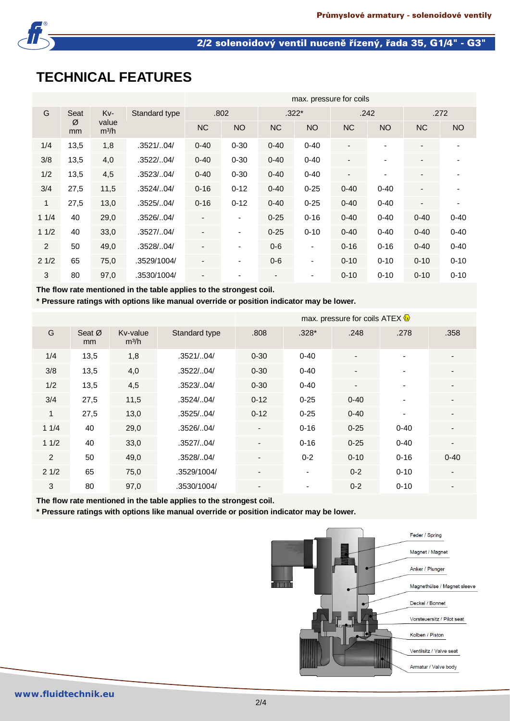

# **TECHNICAL FEATURES**

|                      |                  |      |               | max. pressure for coils  |                              |                          |                          |                          |           |                              |          |  |
|----------------------|------------------|------|---------------|--------------------------|------------------------------|--------------------------|--------------------------|--------------------------|-----------|------------------------------|----------|--|
| G<br>Seat<br>Ø<br>mm |                  | Kv-  | Standard type |                          | .802                         |                          | $.322*$                  |                          | .242      | .272                         |          |  |
|                      | value<br>$m^3/h$ |      | <b>NC</b>     | <b>NO</b>                | <b>NC</b>                    | <b>NO</b>                | <b>NC</b>                | <b>NO</b>                | <b>NC</b> | NO                           |          |  |
| 1/4                  | 13,5             | 1,8  | .3521/04/     | $0 - 40$                 | $0 - 30$                     | $0 - 40$                 | $0 - 40$                 | $\overline{\phantom{a}}$ |           | $\overline{\phantom{a}}$     |          |  |
| 3/8                  | 13,5             | 4,0  | .3522/04/     | $0 - 40$                 | $0 - 30$                     | $0 - 40$                 | $0 - 40$                 | $\overline{\phantom{a}}$ |           | $\overline{\phantom{a}}$     |          |  |
| 1/2                  | 13,5             | 4,5  | .3523/04/     | $0 - 40$                 | $0 - 30$                     | $0 - 40$                 | $0 - 40$                 | $\overline{\phantom{a}}$ | ۰         | $\qquad \qquad \blacksquare$ |          |  |
| 3/4                  | 27,5             | 11,5 | .3524/04/     | $0 - 16$                 | $0 - 12$                     | $0 - 40$                 | $0 - 25$                 | $0 - 40$                 | $0 - 40$  | $\overline{\phantom{a}}$     |          |  |
| $\mathbf{1}$         | 27,5             | 13,0 | .3525/.04/    | $0 - 16$                 | $0 - 12$                     | $0 - 40$                 | $0 - 25$                 | $0 - 40$                 | $0 - 40$  | $\overline{\phantom{a}}$     |          |  |
| 11/4                 | 40               | 29,0 | .3526/04/     |                          | $\qquad \qquad \blacksquare$ | $0 - 25$                 | $0 - 16$                 | $0 - 40$                 | $0 - 40$  | $0 - 40$                     | $0 - 40$ |  |
| 11/2                 | 40               | 33,0 | .3527/04/     |                          | $\overline{\phantom{0}}$     | $0 - 25$                 | $0 - 10$                 | $0 - 40$                 | $0 - 40$  | $0 - 40$                     | $0 - 40$ |  |
| $\overline{2}$       | 50               | 49,0 | .3528/04/     | $\overline{\phantom{a}}$ | ٠                            | $0 - 6$                  | $\blacksquare$           | $0 - 16$                 | $0 - 16$  | $0 - 40$                     | $0 - 40$ |  |
| 21/2                 | 65               | 75,0 | .3529/1004/   | $\overline{\phantom{a}}$ | $\qquad \qquad \blacksquare$ | $0 - 6$                  | $\blacksquare$           | $0 - 10$                 | $0 - 10$  | $0 - 10$                     | $0 - 10$ |  |
| 3                    | 80               | 97,0 | .3530/1004/   |                          |                              | $\overline{\phantom{a}}$ | $\overline{\phantom{0}}$ | $0 - 10$                 | $0 - 10$  | $0 - 10$                     | $0 - 10$ |  |

**The flow rate mentioned in the table applies to the strongest coil.**

**\* Pressure ratings with options like manual override or position indicator may be lower.**

|      |                          |                               |               | max. pressure for coils ATEX $\&$ |                          |                          |                          |          |  |  |  |
|------|--------------------------|-------------------------------|---------------|-----------------------------------|--------------------------|--------------------------|--------------------------|----------|--|--|--|
| G    | Seat $\varnothing$<br>mm | Kv-value<br>m <sup>3</sup> /h | Standard type | .808                              | $.328*$                  | .248                     | .278                     | .358     |  |  |  |
| 1/4  | 13,5                     | 1,8                           | .3521/.04/    | $0 - 30$                          | $0 - 40$                 |                          |                          |          |  |  |  |
| 3/8  | 13,5                     | 4,0                           | .3522/0.04/   | $0 - 30$                          | $0 - 40$                 | $\overline{\phantom{a}}$ | $\overline{\phantom{0}}$ |          |  |  |  |
| 1/2  | 13,5                     | 4,5                           | .3523/0.04/   | $0 - 30$                          | $0 - 40$                 | $\overline{\phantom{a}}$ | $\overline{\phantom{0}}$ |          |  |  |  |
| 3/4  | 27,5                     | 11,5                          | .3524/0.04/   | $0 - 12$                          | $0 - 25$                 | $0 - 40$                 | ٠                        |          |  |  |  |
| 1    | 27,5                     | 13,0                          | .3525/0.4/    | $0 - 12$                          | $0 - 25$                 | $0 - 40$                 | ٠                        |          |  |  |  |
| 11/4 | 40                       | 29,0                          | .3526/.04/    | $\overline{\phantom{a}}$          | $0 - 16$                 | $0 - 25$                 | $0 - 40$                 |          |  |  |  |
| 11/2 | 40                       | 33,0                          | .3527/0.4/    | $\overline{\phantom{a}}$          | $0 - 16$                 | $0 - 25$                 | $0 - 40$                 |          |  |  |  |
| 2    | 50                       | 49,0                          | .3528/04/     | $\overline{\phantom{a}}$          | $0 - 2$                  | $0 - 10$                 | $0 - 16$                 | $0 - 40$ |  |  |  |
| 21/2 | 65                       | 75,0                          | .3529/1004/   | $\overline{\phantom{a}}$          | $\overline{\phantom{a}}$ | $0 - 2$                  | $0 - 10$                 |          |  |  |  |
| 3    | 80                       | 97,0                          | .3530/1004/   | $\overline{\phantom{0}}$          | $\overline{\phantom{0}}$ | $0 - 2$                  | $0 - 10$                 |          |  |  |  |

**The flow rate mentioned in the table applies to the strongest coil.**

**\* Pressure ratings with options like manual override or position indicator may be lower.**

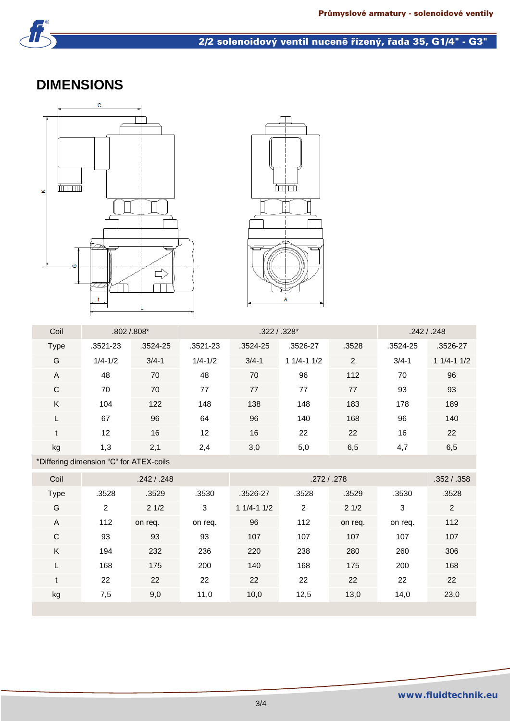

#### 2/2 solenoidový ventil nuceně řízený, řada 35, G1/4" - G3"

### **DIMENSIONS**





| $.3521 - 23$<br>.3528<br><b>Type</b><br>.3521-23<br>.3524-25<br>.3524-25<br>.3526-27<br>.3524-25 | .3526-27      |
|--------------------------------------------------------------------------------------------------|---------------|
| G<br>$3/4 - 1$<br>2<br>$3/4 - 1$<br>$3/4 - 1$<br>$1/4 - 1/2$<br>$1/4 - 1/2$<br>$11/4 - 11/2$     | $11/4 - 11/2$ |
| $\overline{A}$<br>70<br>48<br>96<br>112<br>70<br>70<br>48                                        | 96            |
| $\mathsf{C}$<br>70<br>77<br>77<br>77<br>70<br>77<br>93                                           | 93            |
| K<br>122<br>138<br>148<br>183<br>178<br>104<br>148                                               | 189           |
| 96<br>96<br>67<br>64<br>168<br>96<br>140                                                         | 140           |
| 16<br>16<br>22<br>16<br>12<br>22<br>$12 \overline{ }$<br>$\ddot{}$                               | 22            |
| kg<br>6,5<br>2,1<br>5,0<br>2,4<br>3,0<br>4,7<br>1,3                                              | 6,5           |

\*Differing dimension "C" for ATEX-coils

| Coil        |       | .242 / .248 |         |               | .352/.358 |         |         |       |
|-------------|-------|-------------|---------|---------------|-----------|---------|---------|-------|
| <b>Type</b> | .3528 | .3529       | .3530   | .3526-27      | .3528     | .3529   | .3530   | .3528 |
| G           | 2     | 21/2        | 3       | $11/4 - 11/2$ | 2         | 21/2    | 3       | 2     |
| A           | 112   | on req.     | on req. | 96            | 112       | on req. | on req. | 112   |
| $\mathbf C$ | 93    | 93          | 93      | 107           | 107       | 107     | 107     | 107   |
| K           | 194   | 232         | 236     | 220           | 238       | 280     | 260     | 306   |
| L           | 168   | 175         | 200     | 140           | 168       | 175     | 200     | 168   |
| t           | 22    | 22          | 22      | 22            | 22        | 22      | 22      | 22    |
| kg          | 7,5   | 9,0         | 11,0    | 10,0          | 12,5      | 13,0    | 14,0    | 23,0  |
|             |       |             |         |               |           |         |         |       |